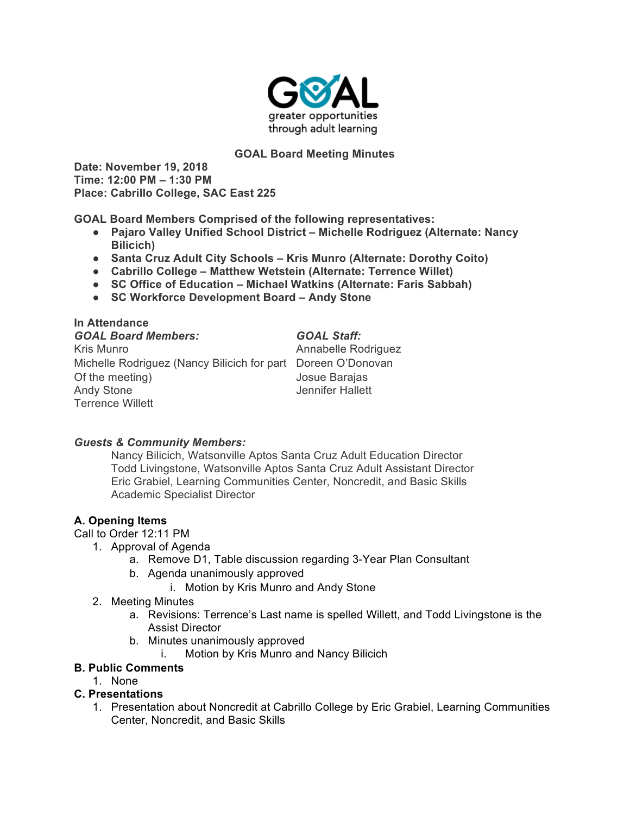

### **GOAL Board Meeting Minutes**

**Date: November 19, 2018 Time: 12:00 PM – 1:30 PM Place: Cabrillo College, SAC East 225**

**GOAL Board Members Comprised of the following representatives:**

- **Pajaro Valley Unified School District – Michelle Rodriguez (Alternate: Nancy Bilicich)**
- **Santa Cruz Adult City Schools – Kris Munro (Alternate: Dorothy Coito)**
- **Cabrillo College – Matthew Wetstein (Alternate: Terrence Willet)**
- **SC Office of Education – Michael Watkins (Alternate: Faris Sabbah)**
- **SC Workforce Development Board – Andy Stone**

**In Attendance** *GOAL Board Members: GOAL Staff:* Kris Munro **Annabelle Rodriguez** Michelle Rodriguez (Nancy Bilicich for part Doreen O'Donovan Of the meeting) Josue Barajas Andy Stone **Andy Stone** Jennifer Hallett Terrence Willett

#### *Guests & Community Members:*

Nancy Bilicich, Watsonville Aptos Santa Cruz Adult Education Director Todd Livingstone, Watsonville Aptos Santa Cruz Adult Assistant Director Eric Grabiel, Learning Communities Center, Noncredit, and Basic Skills Academic Specialist Director

## **A. Opening Items**

Call to Order 12:11 PM

- 1. Approval of Agenda
	- a. Remove D1, Table discussion regarding 3-Year Plan Consultant
	- b. Agenda unanimously approved
		- i. Motion by Kris Munro and Andy Stone
- 2. Meeting Minutes
	- a. Revisions: Terrence's Last name is spelled Willett, and Todd Livingstone is the Assist Director
	- b. Minutes unanimously approved
		- i. Motion by Kris Munro and Nancy Bilicich

## **B. Public Comments**

1. None

## **C. Presentations**

1. Presentation about Noncredit at Cabrillo College by Eric Grabiel, Learning Communities Center, Noncredit, and Basic Skills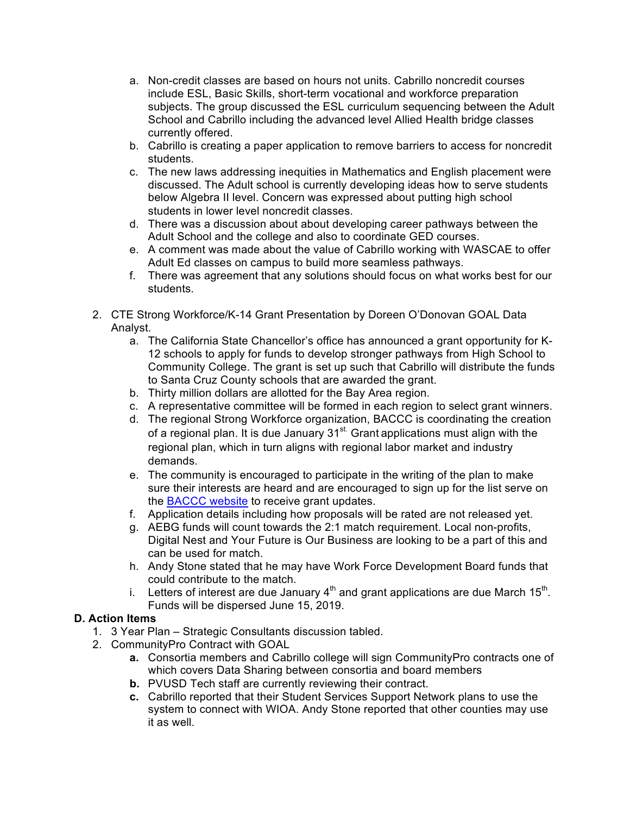- a. Non-credit classes are based on hours not units. Cabrillo noncredit courses include ESL, Basic Skills, short-term vocational and workforce preparation subjects. The group discussed the ESL curriculum sequencing between the Adult School and Cabrillo including the advanced level Allied Health bridge classes currently offered.
- b. Cabrillo is creating a paper application to remove barriers to access for noncredit students.
- c. The new laws addressing inequities in Mathematics and English placement were discussed. The Adult school is currently developing ideas how to serve students below Algebra II level. Concern was expressed about putting high school students in lower level noncredit classes.
- d. There was a discussion about about developing career pathways between the Adult School and the college and also to coordinate GED courses.
- e. A comment was made about the value of Cabrillo working with WASCAE to offer Adult Ed classes on campus to build more seamless pathways.
- f. There was agreement that any solutions should focus on what works best for our students.
- 2. CTE Strong Workforce/K-14 Grant Presentation by Doreen O'Donovan GOAL Data Analyst.
	- a. The California State Chancellor's office has announced a grant opportunity for K-12 schools to apply for funds to develop stronger pathways from High School to Community College. The grant is set up such that Cabrillo will distribute the funds to Santa Cruz County schools that are awarded the grant.
	- b. Thirty million dollars are allotted for the Bay Area region.
	- c. A representative committee will be formed in each region to select grant winners.
	- d. The regional Strong Workforce organization, BACCC is coordinating the creation of a regional plan. It is due January 31<sup>st.</sup> Grant applications must align with the regional plan, which in turn aligns with regional labor market and industry demands.
	- e. The community is encouraged to participate in the writing of the plan to make sure their interests are heard and are encouraged to sign up for the list serve on the BACCC website to receive grant updates.
	- f. Application details including how proposals will be rated are not released yet.
	- g. AEBG funds will count towards the 2:1 match requirement. Local non-profits, Digital Nest and Your Future is Our Business are looking to be a part of this and can be used for match.
	- h. Andy Stone stated that he may have Work Force Development Board funds that could contribute to the match.
	- i. Letters of interest are due January  $4<sup>th</sup>$  and grant applications are due March 15<sup>th</sup>. Funds will be dispersed June 15, 2019.

# **D. Action Items**

- 1. 3 Year Plan Strategic Consultants discussion tabled.
- 2. CommunityPro Contract with GOAL
	- **a.** Consortia members and Cabrillo college will sign CommunityPro contracts one of which covers Data Sharing between consortia and board members
	- **b.** PVUSD Tech staff are currently reviewing their contract.
	- **c.** Cabrillo reported that their Student Services Support Network plans to use the system to connect with WIOA. Andy Stone reported that other counties may use it as well.